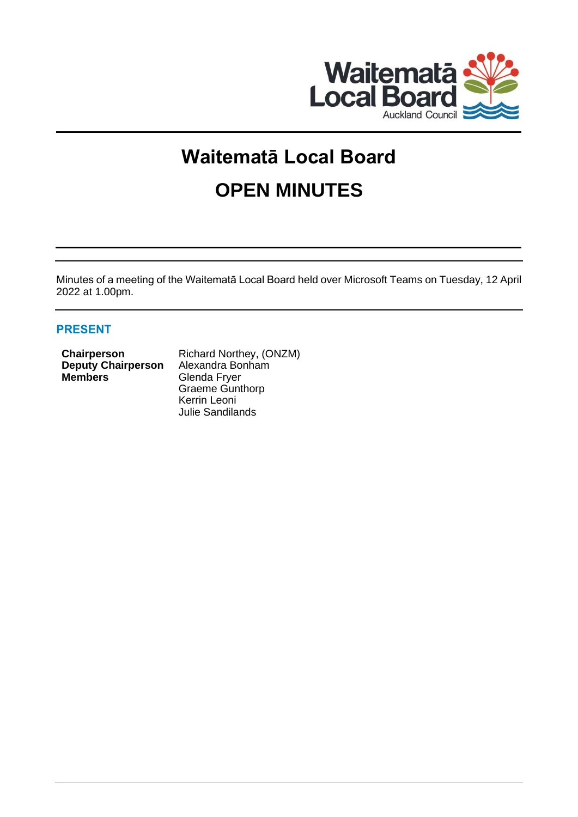

# **Waitematā Local Board OPEN MINUTES**

Minutes of a meeting of the Waitematā Local Board held over Microsoft Teams on Tuesday, 12 April 2022 at 1.00pm.

# **PRESENT**

| Chairperson               | Richard Northey, (ONZM) |
|---------------------------|-------------------------|
| <b>Deputy Chairperson</b> | Alexandra Bonham        |
| <b>Members</b>            | Glenda Fryer            |
|                           | <b>Graeme Gunthorp</b>  |

Kerrin Leoni Julie Sandilands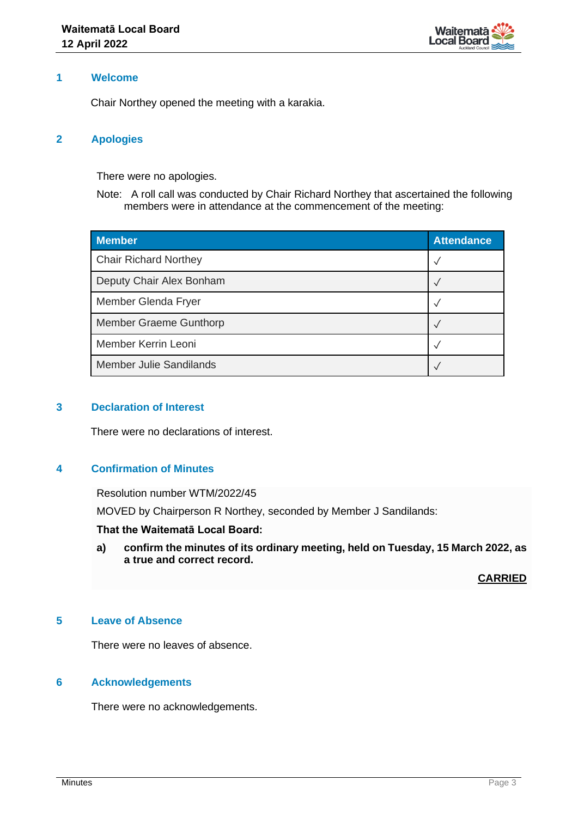

## **1 Welcome**

Chair Northey opened the meeting with a karakia.

## **2 Apologies**

There were no apologies.

Note: A roll call was conducted by Chair Richard Northey that ascertained the following members were in attendance at the commencement of the meeting:

| <b>Member</b>                  | <b>Attendance</b> |
|--------------------------------|-------------------|
| <b>Chair Richard Northey</b>   | √                 |
| Deputy Chair Alex Bonham       |                   |
| Member Glenda Fryer            |                   |
| Member Graeme Gunthorp         |                   |
| Member Kerrin Leoni            |                   |
| <b>Member Julie Sandilands</b> |                   |

## **3 Declaration of Interest**

There were no declarations of interest.

# **4 Confirmation of Minutes**

Resolution number WTM/2022/45

MOVED by Chairperson R Northey, seconded by Member J Sandilands:

## **That the Waitematā Local Board:**

**a) confirm the minutes of its ordinary meeting, held on Tuesday, 15 March 2022, as a true and correct record.**

**CARRIED**

# **5 Leave of Absence**

There were no leaves of absence.

#### **6 Acknowledgements**

There were no acknowledgements.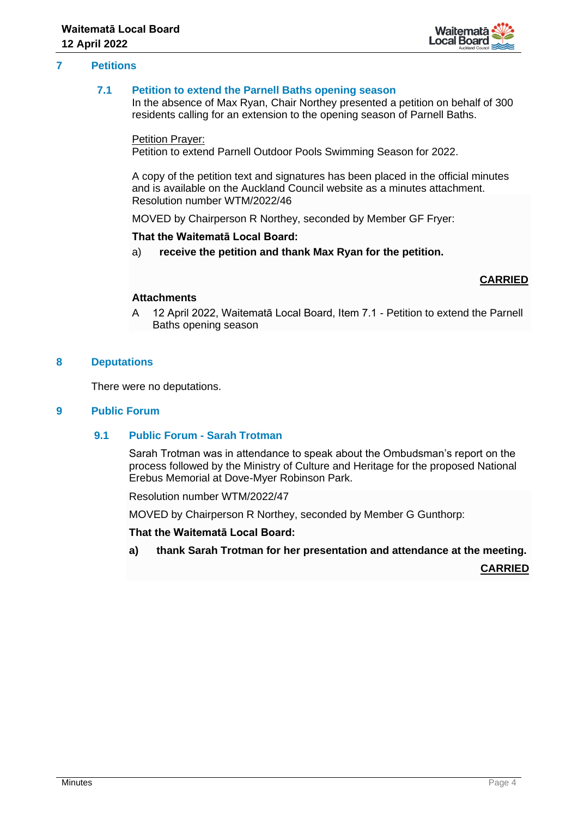

## **7 Petitions**

## **7.1 Petition to extend the Parnell Baths opening season**

In the absence of Max Ryan, Chair Northey presented a petition on behalf of 300 residents calling for an extension to the opening season of Parnell Baths.

#### Petition Prayer:

Petition to extend Parnell Outdoor Pools Swimming Season for 2022.

A copy of the petition text and signatures has been placed in the official minutes and is available on the Auckland Council website as a minutes attachment. Resolution number WTM/2022/46

MOVED by Chairperson R Northey, seconded by Member GF Fryer:

#### **That the Waitematā Local Board:**

a) **receive the petition and thank Max Ryan for the petition.**

## **CARRIED**

#### **Attachments**

A 12 April 2022, Waitematā Local Board, Item 7.1 - Petition to extend the Parnell Baths opening season

#### **8 Deputations**

There were no deputations.

## **9 Public Forum**

## **9.1 Public Forum - Sarah Trotman**

Sarah Trotman was in attendance to speak about the Ombudsman's report on the process followed by the Ministry of Culture and Heritage for the proposed National Erebus Memorial at Dove-Myer Robinson Park.

Resolution number WTM/2022/47

MOVED by Chairperson R Northey, seconded by Member G Gunthorp:

#### **That the Waitematā Local Board:**

**a) thank Sarah Trotman for her presentation and attendance at the meeting.**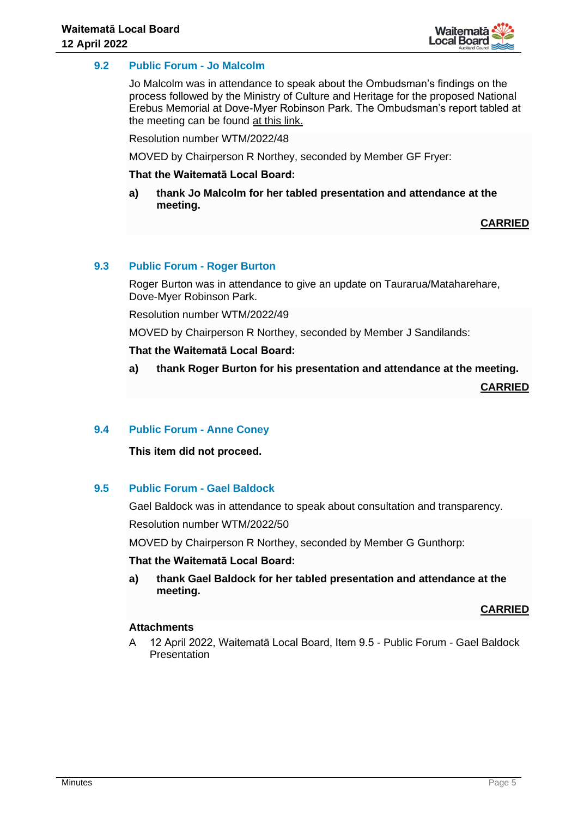

## **9.2 Public Forum - Jo Malcolm**

Jo Malcolm was in attendance to speak about the Ombudsman's findings on the process followed by the Ministry of Culture and Heritage for the proposed National Erebus Memorial at Dove-Myer Robinson Park. The Ombudsman's report tabled at the meeting can be found [at this link.](https://www.ombudsman.parliament.nz/sites/default/files/2022-04/Chief%20Ombudsman%E2%80%99s%20opinion%20under%20the%20Ombudsmen%20Act%20-%20Erebus%20Memorial.docx)

Resolution number WTM/2022/48

MOVED by Chairperson R Northey, seconded by Member GF Fryer:

#### **That the Waitematā Local Board:**

**a) thank Jo Malcolm for her tabled presentation and attendance at the meeting.**

**CARRIED**

## **9.3 Public Forum - Roger Burton**

Roger Burton was in attendance to give an update on Taurarua/Mataharehare, Dove-Myer Robinson Park.

Resolution number WTM/2022/49

MOVED by Chairperson R Northey, seconded by Member J Sandilands:

#### **That the Waitematā Local Board:**

**a) thank Roger Burton for his presentation and attendance at the meeting.**

**CARRIED**

### **9.4 Public Forum - Anne Coney**

#### **This item did not proceed.**

#### **9.5 Public Forum - Gael Baldock**

Gael Baldock was in attendance to speak about consultation and transparency.

Resolution number WTM/2022/50

MOVED by Chairperson R Northey, seconded by Member G Gunthorp:

#### **That the Waitematā Local Board:**

**a) thank Gael Baldock for her tabled presentation and attendance at the meeting.**

#### **CARRIED**

#### **Attachments**

A 12 April 2022, Waitematā Local Board, Item 9.5 - Public Forum - Gael Baldock Presentation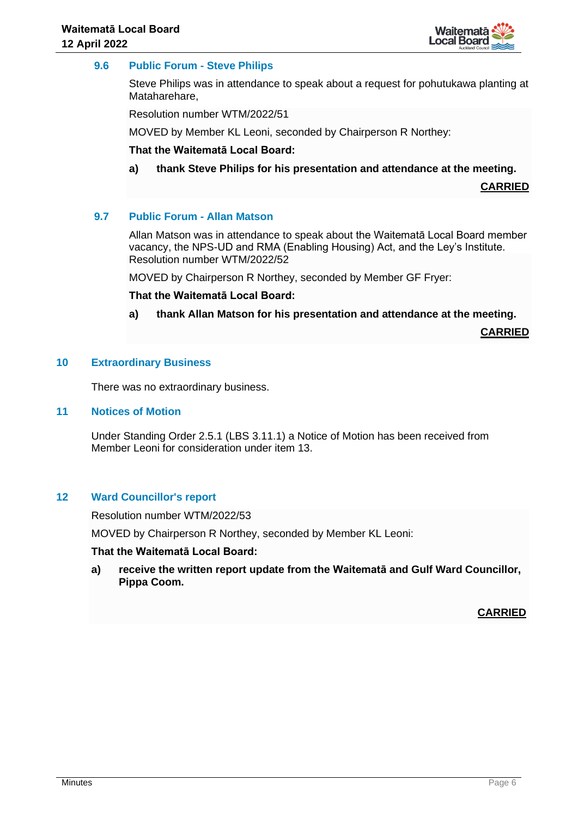

## **9.6 Public Forum - Steve Philips**

Steve Philips was in attendance to speak about a request for pohutukawa planting at Mataharehare,

Resolution number WTM/2022/51

MOVED by Member KL Leoni, seconded by Chairperson R Northey:

#### **That the Waitematā Local Board:**

**a) thank Steve Philips for his presentation and attendance at the meeting.**

**CARRIED**

#### **9.7 Public Forum - Allan Matson**

Allan Matson was in attendance to speak about the Waitematā Local Board member vacancy, the NPS-UD and RMA (Enabling Housing) Act, and the Ley's Institute. Resolution number WTM/2022/52

MOVED by Chairperson R Northey, seconded by Member GF Fryer:

**That the Waitematā Local Board:**

**a) thank Allan Matson for his presentation and attendance at the meeting.**

**CARRIED**

#### **10 Extraordinary Business**

There was no extraordinary business.

#### **11 Notices of Motion**

Under Standing Order 2.5.1 (LBS 3.11.1) a Notice of Motion has been received from Member Leoni for consideration under item 13.

#### **12 Ward Councillor's report**

Resolution number WTM/2022/53

MOVED by Chairperson R Northey, seconded by Member KL Leoni:

## **That the Waitematā Local Board:**

**a) receive the written report update from the Waitematā and Gulf Ward Councillor, Pippa Coom.**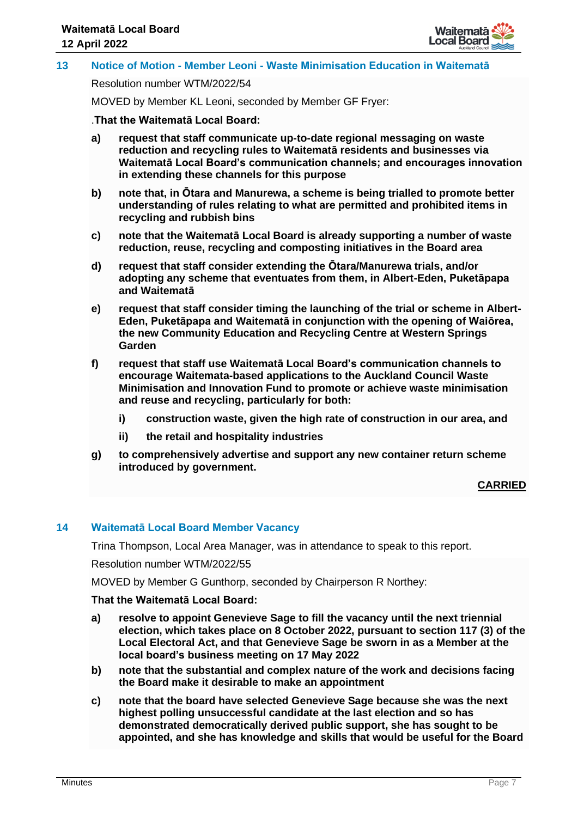

## **13 Notice of Motion - Member Leoni - Waste Minimisation Education in Waitematā**

Resolution number WTM/2022/54

MOVED by Member KL Leoni, seconded by Member GF Fryer:

.**That the Waitematā Local Board:**

- **a) request that staff communicate up-to-date regional messaging on waste reduction and recycling rules to Waitematā residents and businesses via Waitematā Local Board's communication channels; and encourages innovation in extending these channels for this purpose**
- **b) note that, in Ōtara and Manurewa, a scheme is being trialled to promote better understanding of rules relating to what are permitted and prohibited items in recycling and rubbish bins**
- **c) note that the Waitematā Local Board is already supporting a number of waste reduction, reuse, recycling and composting initiatives in the Board area**
- **d) request that staff consider extending the Ōtara/Manurewa trials, and/or adopting any scheme that eventuates from them, in Albert-Eden, Puketāpapa and Waitematā**
- **e) request that staff consider timing the launching of the trial or scheme in Albert-Eden, Puketāpapa and Waitematā in conjunction with the opening of Waiōrea, the new Community Education and Recycling Centre at Western Springs Garden**
- **f) request that staff use Waitematā Local Board's communication channels to encourage Waitemata-based applications to the Auckland Council Waste Minimisation and Innovation Fund to promote or achieve waste minimisation and reuse and recycling, particularly for both:**
	- **i) construction waste, given the high rate of construction in our area, and**
	- **ii) the retail and hospitality industries**
- **g) to comprehensively advertise and support any new container return scheme introduced by government.**

#### **CARRIED**

## **14 Waitematā Local Board Member Vacancy**

Trina Thompson, Local Area Manager, was in attendance to speak to this report.

Resolution number WTM/2022/55

MOVED by Member G Gunthorp, seconded by Chairperson R Northey:

- **a) resolve to appoint Genevieve Sage to fill the vacancy until the next triennial election, which takes place on 8 October 2022, pursuant to section 117 (3) of the Local Electoral Act, and that Genevieve Sage be sworn in as a Member at the local board's business meeting on 17 May 2022**
- **b) note that the substantial and complex nature of the work and decisions facing the Board make it desirable to make an appointment**
- **c) note that the board have selected Genevieve Sage because she was the next highest polling unsuccessful candidate at the last election and so has demonstrated democratically derived public support, she has sought to be appointed, and she has knowledge and skills that would be useful for the Board**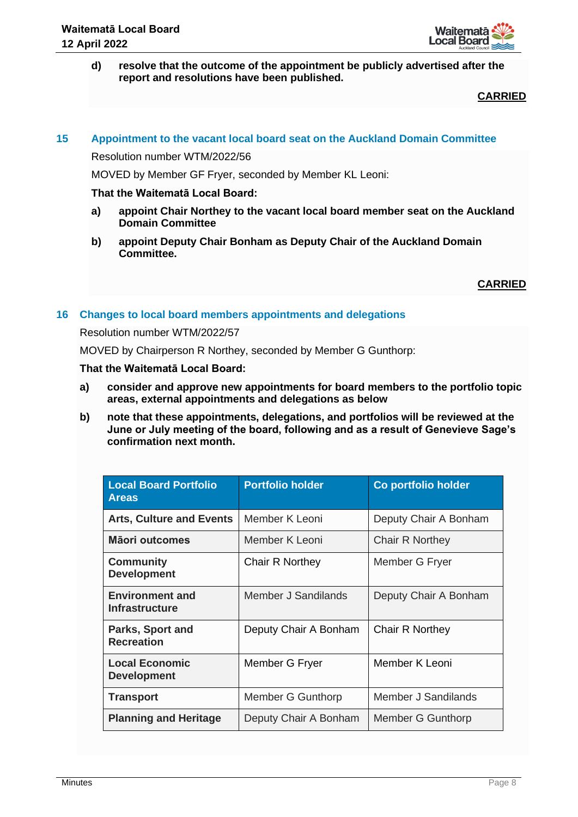

**d) resolve that the outcome of the appointment be publicly advertised after the report and resolutions have been published.**

# **CARRIED**

## **15 Appointment to the vacant local board seat on the Auckland Domain Committee**

Resolution number WTM/2022/56

MOVED by Member GF Fryer, seconded by Member KL Leoni:

#### **That the Waitematā Local Board:**

- **a) appoint Chair Northey to the vacant local board member seat on the Auckland Domain Committee**
- **b) appoint Deputy Chair Bonham as Deputy Chair of the Auckland Domain Committee.**

**CARRIED**

## **16 Changes to local board members appointments and delegations**

#### Resolution number WTM/2022/57

MOVED by Chairperson R Northey, seconded by Member G Gunthorp:

- **a) consider and approve new appointments for board members to the portfolio topic areas, external appointments and delegations as below**
- **b) note that these appointments, delegations, and portfolios will be reviewed at the June or July meeting of the board, following and as a result of Genevieve Sage's confirmation next month.**

| <b>Local Board Portfolio</b><br><b>Areas</b>    | <b>Portfolio holder</b> | Co portfolio holder   |
|-------------------------------------------------|-------------------------|-----------------------|
| <b>Arts, Culture and Events</b>                 | Member K Leoni          | Deputy Chair A Bonham |
| Māori outcomes                                  | Member K Leoni          | Chair R Northey       |
| <b>Community</b><br><b>Development</b>          | Chair R Northey         | Member G Fryer        |
| <b>Environment and</b><br><b>Infrastructure</b> | Member J Sandilands     | Deputy Chair A Bonham |
| Parks, Sport and<br><b>Recreation</b>           | Deputy Chair A Bonham   | Chair R Northey       |
| <b>Local Economic</b><br><b>Development</b>     | Member G Fryer          | Member K Leoni        |
| <b>Transport</b>                                | Member G Gunthorp       | Member J Sandilands   |
| <b>Planning and Heritage</b>                    | Deputy Chair A Bonham   | Member G Gunthorp     |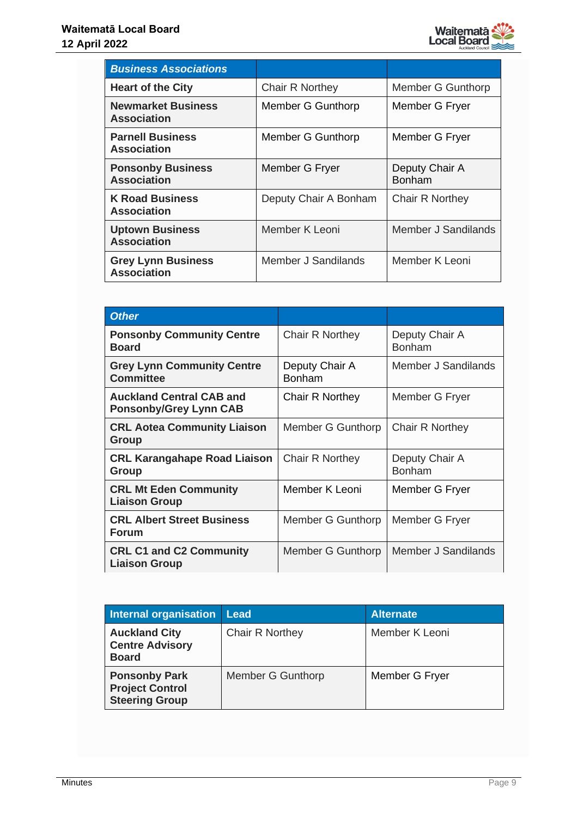

| <b>Business Associations</b>                    |                       |                                 |
|-------------------------------------------------|-----------------------|---------------------------------|
| <b>Heart of the City</b>                        | Chair R Northey       | Member G Gunthorp               |
| <b>Newmarket Business</b><br><b>Association</b> | Member G Gunthorp     | Member G Fryer                  |
| <b>Parnell Business</b><br><b>Association</b>   | Member G Gunthorp     | Member G Fryer                  |
| <b>Ponsonby Business</b><br><b>Association</b>  | Member G Fryer        | Deputy Chair A<br><b>Bonham</b> |
| <b>K Road Business</b><br><b>Association</b>    | Deputy Chair A Bonham | <b>Chair R Northey</b>          |
| <b>Uptown Business</b><br><b>Association</b>    | Member K Leoni        | Member J Sandilands             |
| <b>Grey Lynn Business</b><br><b>Association</b> | Member J Sandilands   | Member K Leoni                  |

| <b>Other</b>                                                     |                                 |                                 |
|------------------------------------------------------------------|---------------------------------|---------------------------------|
| <b>Ponsonby Community Centre</b><br><b>Board</b>                 | <b>Chair R Northey</b>          | Deputy Chair A<br><b>Bonham</b> |
| <b>Grey Lynn Community Centre</b><br><b>Committee</b>            | Deputy Chair A<br><b>Bonham</b> | Member J Sandilands             |
| <b>Auckland Central CAB and</b><br><b>Ponsonby/Grey Lynn CAB</b> | Chair R Northey                 | Member G Fryer                  |
| <b>CRL Aotea Community Liaison</b><br>Group                      | Member G Gunthorp               | <b>Chair R Northey</b>          |
| <b>CRL Karangahape Road Liaison</b><br>Group                     | Chair R Northey                 | Deputy Chair A<br><b>Bonham</b> |
| <b>CRL Mt Eden Community</b><br><b>Liaison Group</b>             | Member K Leoni                  | Member G Fryer                  |
| <b>CRL Albert Street Business</b><br><b>Forum</b>                | Member G Gunthorp               | Member G Fryer                  |
| <b>CRL C1 and C2 Community</b><br><b>Liaison Group</b>           | Member G Gunthorp               | Member J Sandilands             |

| <b>Internal organisation</b>                                            | Lead              | <b>Alternate</b> |
|-------------------------------------------------------------------------|-------------------|------------------|
| <b>Auckland City</b><br><b>Centre Advisory</b><br><b>Board</b>          | Chair R Northey   | Member K Leoni   |
| <b>Ponsonby Park</b><br><b>Project Control</b><br><b>Steering Group</b> | Member G Gunthorp | Member G Fryer   |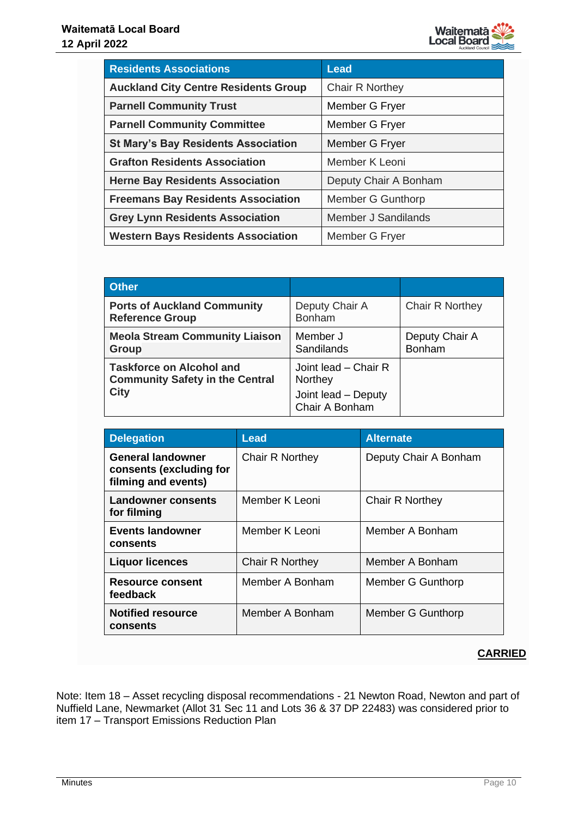

| <b>Residents Associations</b>               | <b>Lead</b>            |
|---------------------------------------------|------------------------|
| <b>Auckland City Centre Residents Group</b> | <b>Chair R Northey</b> |
| <b>Parnell Community Trust</b>              | Member G Fryer         |
| <b>Parnell Community Committee</b>          | Member G Fryer         |
| <b>St Mary's Bay Residents Association</b>  | Member G Fryer         |
| <b>Grafton Residents Association</b>        | Member K Leoni         |
| <b>Herne Bay Residents Association</b>      | Deputy Chair A Bonham  |
| <b>Freemans Bay Residents Association</b>   | Member G Gunthorp      |
| <b>Grey Lynn Residents Association</b>      | Member J Sandilands    |
| <b>Western Bays Residents Association</b>   | Member G Fryer         |

| <b>Other</b>                                                              |                                       |                          |
|---------------------------------------------------------------------------|---------------------------------------|--------------------------|
| <b>Ports of Auckland Community</b><br><b>Reference Group</b>              | Deputy Chair A<br><b>Bonham</b>       | <b>Chair R Northey</b>   |
| <b>Meola Stream Community Liaison</b><br><b>Group</b>                     | Member J<br>Sandilands                | Deputy Chair A<br>Bonham |
| <b>Taskforce on Alcohol and</b><br><b>Community Safety in the Central</b> | Joint lead – Chair R<br>Northey       |                          |
| <b>City</b>                                                               | Joint lead - Deputy<br>Chair A Bonham |                          |

| <b>Delegation</b>                                                          | <b>Lead</b>            | <b>Alternate</b>      |
|----------------------------------------------------------------------------|------------------------|-----------------------|
| <b>General landowner</b><br>consents (excluding for<br>filming and events) | <b>Chair R Northey</b> | Deputy Chair A Bonham |
| Landowner consents<br>for filming                                          | Member K Leoni         | Chair R Northey       |
| <b>Events landowner</b><br>consents                                        | Member K Leoni         | Member A Bonham       |
| <b>Liquor licences</b>                                                     | <b>Chair R Northey</b> | Member A Bonham       |
| <b>Resource consent</b><br>feedback                                        | Member A Bonham        | Member G Gunthorp     |
| <b>Notified resource</b><br>consents                                       | Member A Bonham        | Member G Gunthorp     |

Note: Item 18 – Asset recycling disposal recommendations - 21 Newton Road, Newton and part of Nuffield Lane, Newmarket (Allot 31 Sec 11 and Lots 36 & 37 DP 22483) was considered prior to item 17 – Transport Emissions Reduction Plan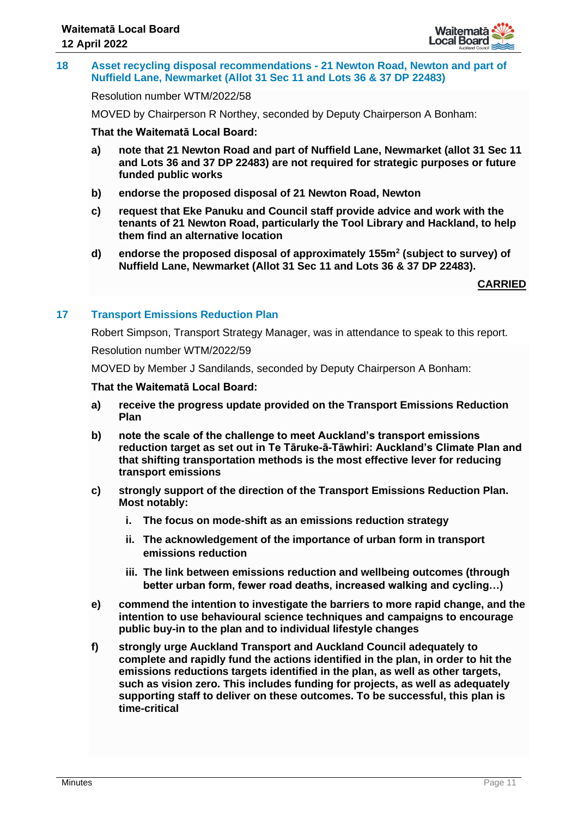

### **18 Asset recycling disposal recommendations - 21 Newton Road, Newton and part of Nuffield Lane, Newmarket (Allot 31 Sec 11 and Lots 36 & 37 DP 22483)**

## Resolution number WTM/2022/58

MOVED by Chairperson R Northey, seconded by Deputy Chairperson A Bonham:

## **That the Waitematā Local Board:**

- **a) note that 21 Newton Road and part of Nuffield Lane, Newmarket (allot 31 Sec 11 and Lots 36 and 37 DP 22483) are not required for strategic purposes or future funded public works**
- **b) endorse the proposed disposal of 21 Newton Road, Newton**
- **c) request that Eke Panuku and Council staff provide advice and work with the tenants of 21 Newton Road, particularly the Tool Library and Hackland, to help them find an alternative location**
- **d) endorse the proposed disposal of approximately 155m<sup>2</sup> (subject to survey) of Nuffield Lane, Newmarket (Allot 31 Sec 11 and Lots 36 & 37 DP 22483).**

**CARRIED**

# **17 Transport Emissions Reduction Plan**

Robert Simpson, Transport Strategy Manager, was in attendance to speak to this report.

Resolution number WTM/2022/59

MOVED by Member J Sandilands, seconded by Deputy Chairperson A Bonham:

- **a) receive the progress update provided on the Transport Emissions Reduction Plan**
- **b) note the scale of the challenge to meet Auckland's transport emissions reduction target as set out in Te Tāruke-ā-Tāwhiri: Auckland's Climate Plan and that shifting transportation methods is the most effective lever for reducing transport emissions**
- **c) strongly support of the direction of the Transport Emissions Reduction Plan. Most notably:**
	- **i. The focus on mode-shift as an emissions reduction strategy**
	- **ii. The acknowledgement of the importance of urban form in transport emissions reduction**
	- **iii. The link between emissions reduction and wellbeing outcomes (through better urban form, fewer road deaths, increased walking and cycling…)**
- **e) commend the intention to investigate the barriers to more rapid change, and the intention to use behavioural science techniques and campaigns to encourage public buy-in to the plan and to individual lifestyle changes**
- **f) strongly urge Auckland Transport and Auckland Council adequately to complete and rapidly fund the actions identified in the plan, in order to hit the emissions reductions targets identified in the plan, as well as other targets, such as vision zero. This includes funding for projects, as well as adequately supporting staff to deliver on these outcomes. To be successful, this plan is time-critical**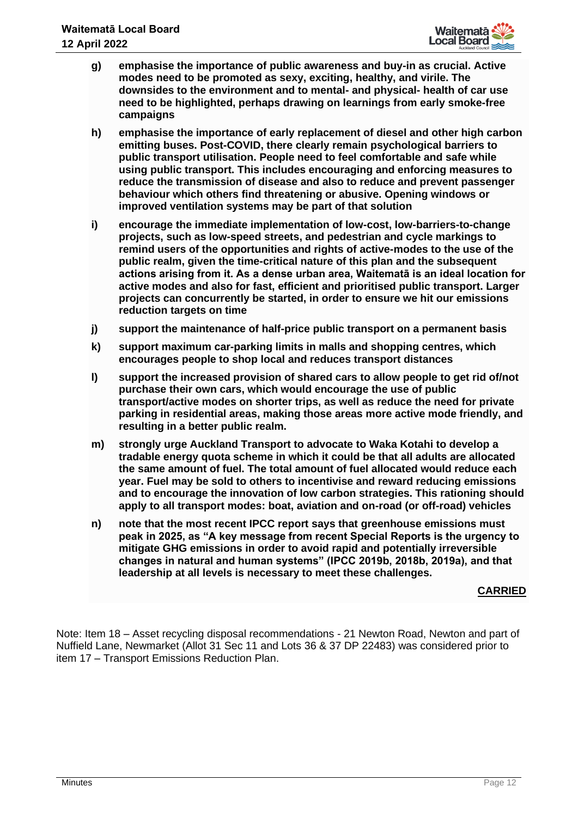

- **g) emphasise the importance of public awareness and buy-in as crucial. Active modes need to be promoted as sexy, exciting, healthy, and virile. The downsides to the environment and to mental- and physical- health of car use need to be highlighted, perhaps drawing on learnings from early smoke-free campaigns**
- **h) emphasise the importance of early replacement of diesel and other high carbon emitting buses. Post-COVID, there clearly remain psychological barriers to public transport utilisation. People need to feel comfortable and safe while using public transport. This includes encouraging and enforcing measures to reduce the transmission of disease and also to reduce and prevent passenger behaviour which others find threatening or abusive. Opening windows or improved ventilation systems may be part of that solution**
- **i) encourage the immediate implementation of low-cost, low-barriers-to-change projects, such as low-speed streets, and pedestrian and cycle markings to remind users of the opportunities and rights of active-modes to the use of the public realm, given the time-critical nature of this plan and the subsequent actions arising from it. As a dense urban area, Waitematā is an ideal location for active modes and also for fast, efficient and prioritised public transport. Larger projects can concurrently be started, in order to ensure we hit our emissions reduction targets on time**
- **j) support the maintenance of half-price public transport on a permanent basis**
- **k) support maximum car-parking limits in malls and shopping centres, which encourages people to shop local and reduces transport distances**
- **l) support the increased provision of shared cars to allow people to get rid of/not purchase their own cars, which would encourage the use of public transport/active modes on shorter trips, as well as reduce the need for private parking in residential areas, making those areas more active mode friendly, and resulting in a better public realm.**
- **m) strongly urge Auckland Transport to advocate to Waka Kotahi to develop a tradable energy quota scheme in which it could be that all adults are allocated the same amount of fuel. The total amount of fuel allocated would reduce each year. Fuel may be sold to others to incentivise and reward reducing emissions and to encourage the innovation of low carbon strategies. This rationing should apply to all transport modes: boat, aviation and on-road (or off-road) vehicles**
- **n) note that the most recent IPCC report says that greenhouse emissions must peak in 2025, as "A key message from recent Special Reports is the urgency to mitigate GHG emissions in order to avoid rapid and potentially irreversible changes in natural and human systems" (IPCC 2019b, 2018b, 2019a), and that leadership at all levels is necessary to meet these challenges.**

Note: Item 18 – Asset recycling disposal recommendations - 21 Newton Road, Newton and part of Nuffield Lane, Newmarket (Allot 31 Sec 11 and Lots 36 & 37 DP 22483) was considered prior to item 17 – Transport Emissions Reduction Plan.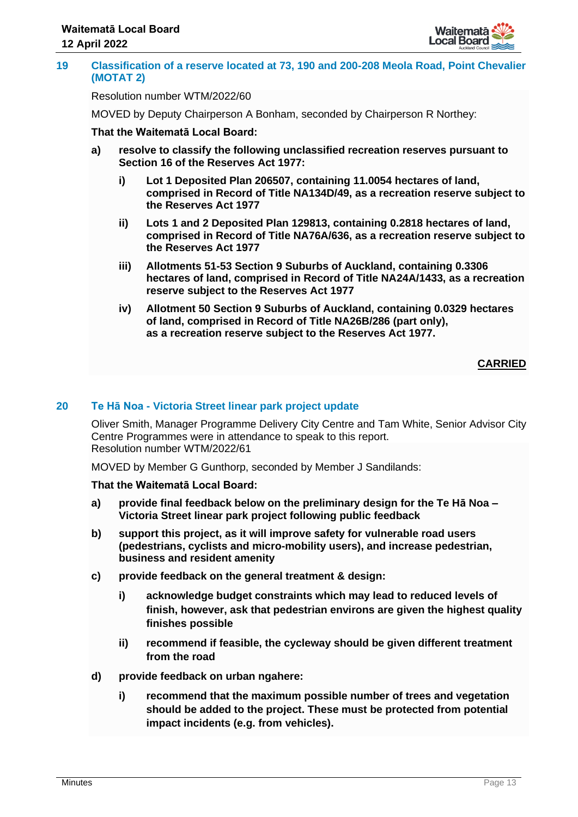

#### **19 Classification of a reserve located at 73, 190 and 200-208 Meola Road, Point Chevalier (MOTAT 2)**

## Resolution number WTM/2022/60

MOVED by Deputy Chairperson A Bonham, seconded by Chairperson R Northey:

## **That the Waitematā Local Board:**

- **a) resolve to classify the following unclassified recreation reserves pursuant to Section 16 of the Reserves Act 1977:**
	- **i) Lot 1 Deposited Plan 206507, containing 11.0054 hectares of land, comprised in Record of Title NA134D/49, as a recreation reserve subject to the Reserves Act 1977**
	- **ii) Lots 1 and 2 Deposited Plan 129813, containing 0.2818 hectares of land, comprised in Record of Title NA76A/636, as a recreation reserve subject to the Reserves Act 1977**
	- **iii) Allotments 51-53 Section 9 Suburbs of Auckland, containing 0.3306 hectares of land, comprised in Record of Title NA24A/1433, as a recreation reserve subject to the Reserves Act 1977**
	- **iv) Allotment 50 Section 9 Suburbs of Auckland, containing 0.0329 hectares of land, comprised in Record of Title NA26B/286 (part only), as a recreation reserve subject to the Reserves Act 1977.**

## **CARRIED**

## **20 Te Hā Noa - Victoria Street linear park project update**

Oliver Smith, Manager Programme Delivery City Centre and Tam White, Senior Advisor City Centre Programmes were in attendance to speak to this report. Resolution number WTM/2022/61

MOVED by Member G Gunthorp, seconded by Member J Sandilands:

- **a) provide final feedback below on the preliminary design for the Te Hā Noa – Victoria Street linear park project following public feedback**
- **b) support this project, as it will improve safety for vulnerable road users (pedestrians, cyclists and micro-mobility users), and increase pedestrian, business and resident amenity**
- **c) provide feedback on the general treatment & design:**
	- **i) acknowledge budget constraints which may lead to reduced levels of finish, however, ask that pedestrian environs are given the highest quality finishes possible**
	- **ii) recommend if feasible, the cycleway should be given different treatment from the road**
- **d) provide feedback on urban ngahere:**
	- **i) recommend that the maximum possible number of trees and vegetation should be added to the project. These must be protected from potential impact incidents (e.g. from vehicles).**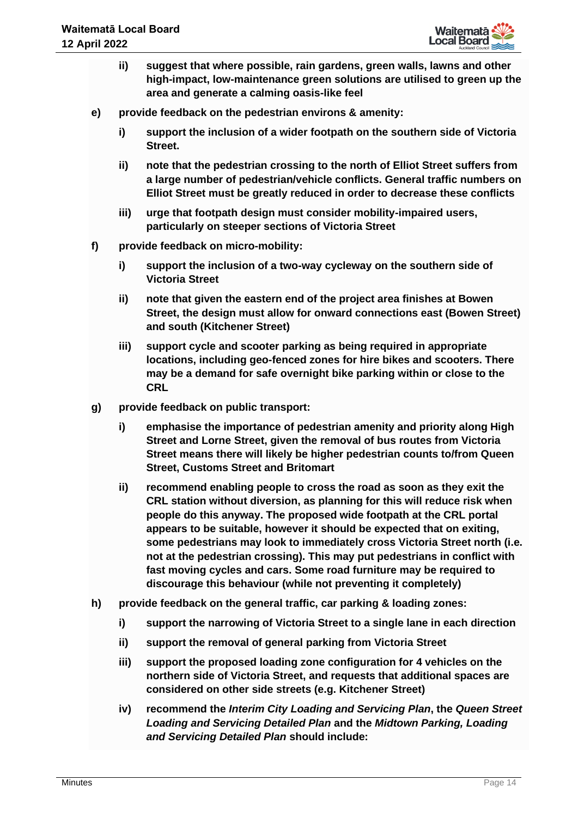

- **ii) suggest that where possible, rain gardens, green walls, lawns and other high-impact, low-maintenance green solutions are utilised to green up the area and generate a calming oasis-like feel**
- **e) provide feedback on the pedestrian environs & amenity:**
	- **i) support the inclusion of a wider footpath on the southern side of Victoria Street.**
	- **ii) note that the pedestrian crossing to the north of Elliot Street suffers from a large number of pedestrian/vehicle conflicts. General traffic numbers on Elliot Street must be greatly reduced in order to decrease these conflicts**
	- **iii) urge that footpath design must consider mobility-impaired users, particularly on steeper sections of Victoria Street**
- **f) provide feedback on micro-mobility:**
	- **i) support the inclusion of a two-way cycleway on the southern side of Victoria Street**
	- **ii) note that given the eastern end of the project area finishes at Bowen Street, the design must allow for onward connections east (Bowen Street) and south (Kitchener Street)**
	- **iii) support cycle and scooter parking as being required in appropriate locations, including geo-fenced zones for hire bikes and scooters. There may be a demand for safe overnight bike parking within or close to the CRL**
- **g) provide feedback on public transport:**
	- **i) emphasise the importance of pedestrian amenity and priority along High Street and Lorne Street, given the removal of bus routes from Victoria Street means there will likely be higher pedestrian counts to/from Queen Street, Customs Street and Britomart**
	- **ii) recommend enabling people to cross the road as soon as they exit the CRL station without diversion, as planning for this will reduce risk when people do this anyway. The proposed wide footpath at the CRL portal appears to be suitable, however it should be expected that on exiting, some pedestrians may look to immediately cross Victoria Street north (i.e. not at the pedestrian crossing). This may put pedestrians in conflict with fast moving cycles and cars. Some road furniture may be required to discourage this behaviour (while not preventing it completely)**
- **h) provide feedback on the general traffic, car parking & loading zones:**
	- **i) support the narrowing of Victoria Street to a single lane in each direction**
	- **ii) support the removal of general parking from Victoria Street**
	- **iii) support the proposed loading zone configuration for 4 vehicles on the northern side of Victoria Street, and requests that additional spaces are considered on other side streets (e.g. Kitchener Street)**
	- **iv) recommend the** *Interim City Loading and Servicing Plan***, the** *Queen Street Loading and Servicing Detailed Plan* **and the** *Midtown Parking, Loading and Servicing Detailed Plan* **should include:**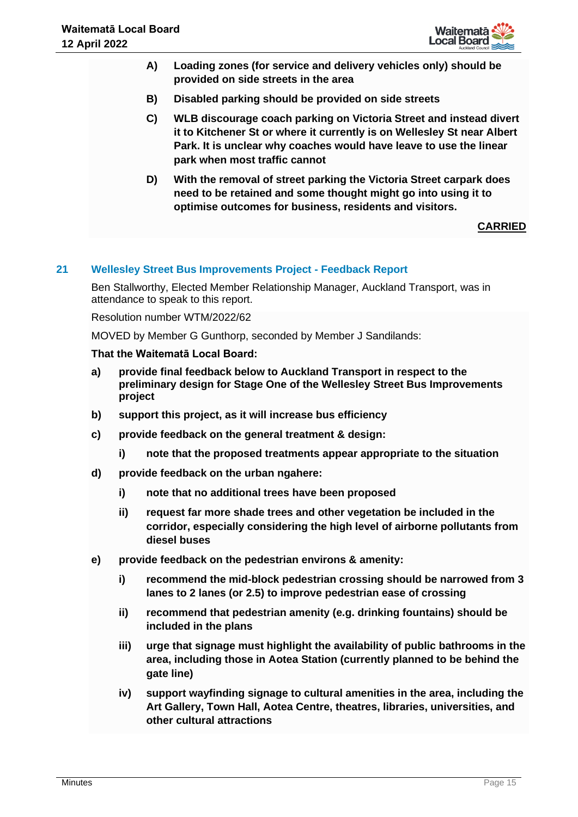

- **A) Loading zones (for service and delivery vehicles only) should be provided on side streets in the area**
- **B) Disabled parking should be provided on side streets**
- **C) WLB discourage coach parking on Victoria Street and instead divert it to Kitchener St or where it currently is on Wellesley St near Albert Park. It is unclear why coaches would have leave to use the linear park when most traffic cannot**
- **D) With the removal of street parking the Victoria Street carpark does need to be retained and some thought might go into using it to optimise outcomes for business, residents and visitors.**

## **21 Wellesley Street Bus Improvements Project - Feedback Report**

Ben Stallworthy, Elected Member Relationship Manager, Auckland Transport, was in attendance to speak to this report.

Resolution number WTM/2022/62

MOVED by Member G Gunthorp, seconded by Member J Sandilands:

- **a) provide final feedback below to Auckland Transport in respect to the preliminary design for Stage One of the Wellesley Street Bus Improvements project**
- **b) support this project, as it will increase bus efficiency**
- **c) provide feedback on the general treatment & design:**
	- **i) note that the proposed treatments appear appropriate to the situation**
- **d) provide feedback on the urban ngahere:**
	- **i) note that no additional trees have been proposed**
	- **ii) request far more shade trees and other vegetation be included in the corridor, especially considering the high level of airborne pollutants from diesel buses**
- **e) provide feedback on the pedestrian environs & amenity:**
	- **i) recommend the mid-block pedestrian crossing should be narrowed from 3 lanes to 2 lanes (or 2.5) to improve pedestrian ease of crossing**
	- **ii) recommend that pedestrian amenity (e.g. drinking fountains) should be included in the plans**
	- **iii) urge that signage must highlight the availability of public bathrooms in the area, including those in Aotea Station (currently planned to be behind the gate line)**
	- **iv) support wayfinding signage to cultural amenities in the area, including the Art Gallery, Town Hall, Aotea Centre, theatres, libraries, universities, and other cultural attractions**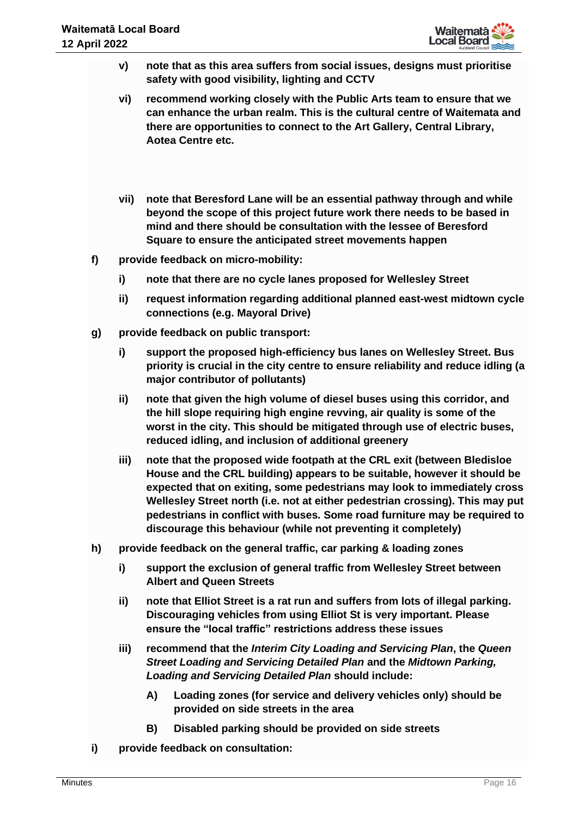- **v) note that as this area suffers from social issues, designs must prioritise safety with good visibility, lighting and CCTV**
- **vi) recommend working closely with the Public Arts team to ensure that we can enhance the urban realm. This is the cultural centre of Waitemata and there are opportunities to connect to the Art Gallery, Central Library, Aotea Centre etc.**
- **vii) note that Beresford Lane will be an essential pathway through and while beyond the scope of this project future work there needs to be based in mind and there should be consultation with the lessee of Beresford Square to ensure the anticipated street movements happen**
- **f) provide feedback on micro-mobility:**
	- **i) note that there are no cycle lanes proposed for Wellesley Street**
	- **ii) request information regarding additional planned east-west midtown cycle connections (e.g. Mayoral Drive)**
- **g) provide feedback on public transport:**
	- **i) support the proposed high-efficiency bus lanes on Wellesley Street. Bus priority is crucial in the city centre to ensure reliability and reduce idling (a major contributor of pollutants)**
	- **ii) note that given the high volume of diesel buses using this corridor, and the hill slope requiring high engine revving, air quality is some of the worst in the city. This should be mitigated through use of electric buses, reduced idling, and inclusion of additional greenery**
	- **iii) note that the proposed wide footpath at the CRL exit (between Bledisloe House and the CRL building) appears to be suitable, however it should be expected that on exiting, some pedestrians may look to immediately cross Wellesley Street north (i.e. not at either pedestrian crossing). This may put pedestrians in conflict with buses. Some road furniture may be required to discourage this behaviour (while not preventing it completely)**
- **h) provide feedback on the general traffic, car parking & loading zones**
	- **i) support the exclusion of general traffic from Wellesley Street between Albert and Queen Streets**
	- **ii) note that Elliot Street is a rat run and suffers from lots of illegal parking. Discouraging vehicles from using Elliot St is very important. Please ensure the "local traffic" restrictions address these issues**
	- **iii) recommend that the** *Interim City Loading and Servicing Plan***, the** *Queen Street Loading and Servicing Detailed Plan* **and the** *Midtown Parking, Loading and Servicing Detailed Plan* **should include:**
		- **A) Loading zones (for service and delivery vehicles only) should be provided on side streets in the area**
		- **B) Disabled parking should be provided on side streets**
- **i) provide feedback on consultation:**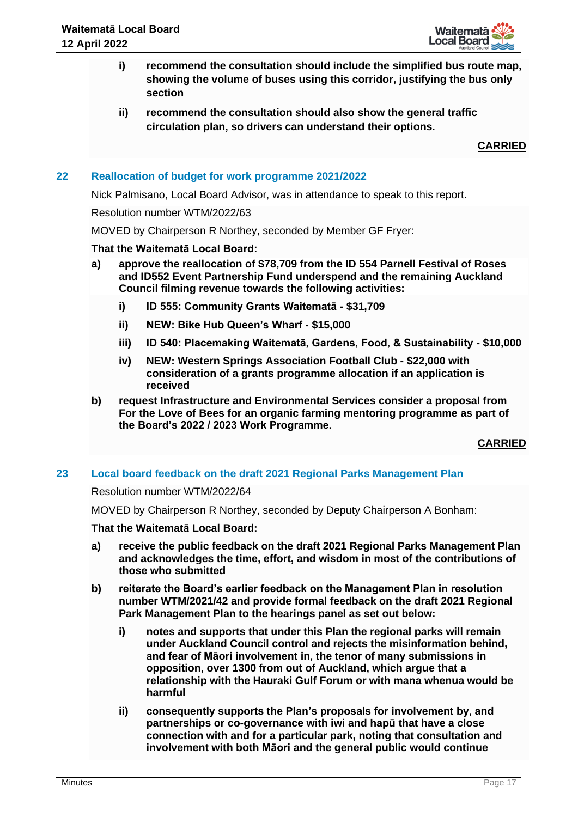

- **i) recommend the consultation should include the simplified bus route map, showing the volume of buses using this corridor, justifying the bus only section**
- **ii) recommend the consultation should also show the general traffic circulation plan, so drivers can understand their options.**

# **22 Reallocation of budget for work programme 2021/2022**

Nick Palmisano, Local Board Advisor, was in attendance to speak to this report.

#### Resolution number WTM/2022/63

MOVED by Chairperson R Northey, seconded by Member GF Fryer:

## **That the Waitematā Local Board:**

- **a) approve the reallocation of \$78,709 from the ID 554 Parnell Festival of Roses and ID552 Event Partnership Fund underspend and the remaining Auckland Council filming revenue towards the following activities:**
	- **i) ID 555: Community Grants Waitematā - \$31,709**
	- **ii) NEW: Bike Hub Queen's Wharf - \$15,000**
	- **iii) ID 540: Placemaking Waitematā, Gardens, Food, & Sustainability - \$10,000**
	- **iv) NEW: Western Springs Association Football Club - \$22,000 with consideration of a grants programme allocation if an application is received**
- **b) request Infrastructure and Environmental Services consider a proposal from For the Love of Bees for an organic farming mentoring programme as part of the Board's 2022 / 2023 Work Programme.**

**CARRIED**

## **23 Local board feedback on the draft 2021 Regional Parks Management Plan**

#### Resolution number WTM/2022/64

MOVED by Chairperson R Northey, seconded by Deputy Chairperson A Bonham:

- **a) receive the public feedback on the draft 2021 Regional Parks Management Plan and acknowledges the time, effort, and wisdom in most of the contributions of those who submitted**
- **b) reiterate the Board's earlier feedback on the Management Plan in resolution number WTM/2021/42 and provide formal feedback on the draft 2021 Regional Park Management Plan to the hearings panel as set out below:**
	- **i) notes and supports that under this Plan the regional parks will remain under Auckland Council control and rejects the misinformation behind, and fear of Māori involvement in, the tenor of many submissions in opposition, over 1300 from out of Auckland, which argue that a relationship with the Hauraki Gulf Forum or with mana whenua would be harmful**
	- **ii) consequently supports the Plan's proposals for involvement by, and partnerships or co-governance with iwi and hapū that have a close connection with and for a particular park, noting that consultation and involvement with both Māori and the general public would continue**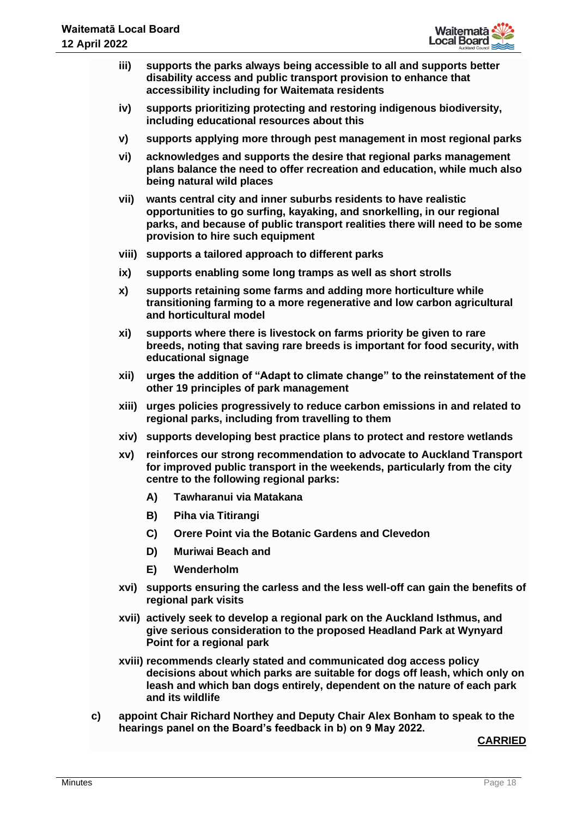

- **iii) supports the parks always being accessible to all and supports better disability access and public transport provision to enhance that accessibility including for Waitemata residents**
- **iv) supports prioritizing protecting and restoring indigenous biodiversity, including educational resources about this**
- **v) supports applying more through pest management in most regional parks**
- **vi) acknowledges and supports the desire that regional parks management plans balance the need to offer recreation and education, while much also being natural wild places**
- **vii) wants central city and inner suburbs residents to have realistic opportunities to go surfing, kayaking, and snorkelling, in our regional parks, and because of public transport realities there will need to be some provision to hire such equipment**
- **viii) supports a tailored approach to different parks**
- **ix) supports enabling some long tramps as well as short strolls**
- **x) supports retaining some farms and adding more horticulture while transitioning farming to a more regenerative and low carbon agricultural and horticultural model**
- **xi) supports where there is livestock on farms priority be given to rare breeds, noting that saving rare breeds is important for food security, with educational signage**
- **xii) urges the addition of "Adapt to climate change" to the reinstatement of the other 19 principles of park management**
- **xiii) urges policies progressively to reduce carbon emissions in and related to regional parks, including from travelling to them**
- **xiv) supports developing best practice plans to protect and restore wetlands**
- **xv) reinforces our strong recommendation to advocate to Auckland Transport for improved public transport in the weekends, particularly from the city centre to the following regional parks:**
	- **A) Tawharanui via Matakana**
	- **B) Piha via Titirangi**
	- **C) Orere Point via the Botanic Gardens and Clevedon**
	- **D) Muriwai Beach and**
	- **E) Wenderholm**
- **xvi) supports ensuring the carless and the less well-off can gain the benefits of regional park visits**
- **xvii) actively seek to develop a regional park on the Auckland Isthmus, and give serious consideration to the proposed Headland Park at Wynyard Point for a regional park**
- **xviii) recommends clearly stated and communicated dog access policy decisions about which parks are suitable for dogs off leash, which only on leash and which ban dogs entirely, dependent on the nature of each park and its wildlife**
- **c) appoint Chair Richard Northey and Deputy Chair Alex Bonham to speak to the hearings panel on the Board's feedback in b) on 9 May 2022.**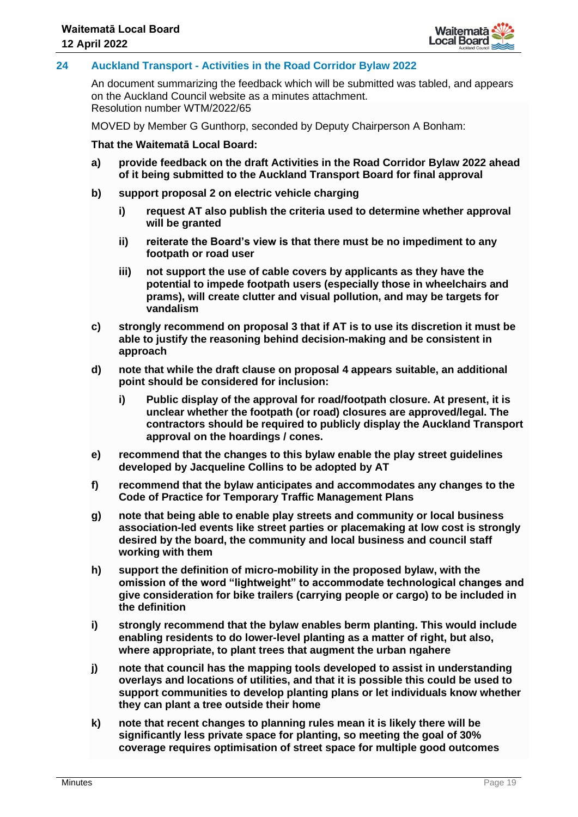

## **24 Auckland Transport - Activities in the Road Corridor Bylaw 2022**

An document summarizing the feedback which will be submitted was tabled, and appears on the Auckland Council website as a minutes attachment. Resolution number WTM/2022/65

MOVED by Member G Gunthorp, seconded by Deputy Chairperson A Bonham:

- **a) provide feedback on the draft Activities in the Road Corridor Bylaw 2022 ahead of it being submitted to the Auckland Transport Board for final approval**
- **b) support proposal 2 on electric vehicle charging**
	- **i) request AT also publish the criteria used to determine whether approval will be granted**
	- **ii) reiterate the Board's view is that there must be no impediment to any footpath or road user**
	- **iii) not support the use of cable covers by applicants as they have the potential to impede footpath users (especially those in wheelchairs and prams), will create clutter and visual pollution, and may be targets for vandalism**
- **c) strongly recommend on proposal 3 that if AT is to use its discretion it must be able to justify the reasoning behind decision-making and be consistent in approach**
- **d) note that while the draft clause on proposal 4 appears suitable, an additional point should be considered for inclusion:**
	- **i) Public display of the approval for road/footpath closure. At present, it is unclear whether the footpath (or road) closures are approved/legal. The contractors should be required to publicly display the Auckland Transport approval on the hoardings / cones.**
- **e) recommend that the changes to this bylaw enable the play street guidelines developed by Jacqueline Collins to be adopted by AT**
- **f) recommend that the bylaw anticipates and accommodates any changes to the Code of Practice for Temporary Traffic Management Plans**
- **g) note that being able to enable play streets and community or local business association-led events like street parties or placemaking at low cost is strongly desired by the board, the community and local business and council staff working with them**
- **h) support the definition of micro-mobility in the proposed bylaw, with the omission of the word "lightweight" to accommodate technological changes and give consideration for bike trailers (carrying people or cargo) to be included in the definition**
- **i) strongly recommend that the bylaw enables berm planting. This would include enabling residents to do lower-level planting as a matter of right, but also, where appropriate, to plant trees that augment the urban ngahere**
- **j) note that council has the mapping tools developed to assist in understanding overlays and locations of utilities, and that it is possible this could be used to support communities to develop planting plans or let individuals know whether they can plant a tree outside their home**
- **k) note that recent changes to planning rules mean it is likely there will be significantly less private space for planting, so meeting the goal of 30% coverage requires optimisation of street space for multiple good outcomes**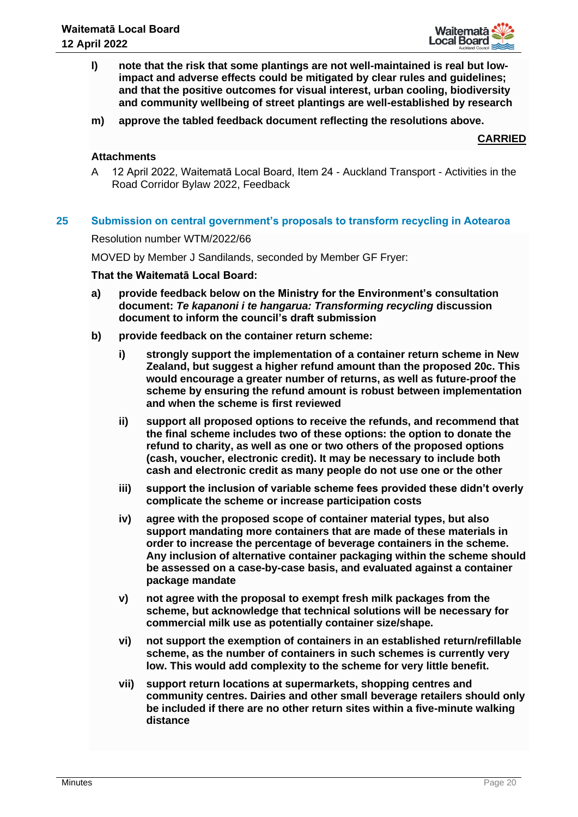

- **l) note that the risk that some plantings are not well-maintained is real but lowimpact and adverse effects could be mitigated by clear rules and guidelines; and that the positive outcomes for visual interest, urban cooling, biodiversity and community wellbeing of street plantings are well-established by research**
- **m) approve the tabled feedback document reflecting the resolutions above.**

## **Attachments**

A 12 April 2022, Waitematā Local Board, Item 24 - Auckland Transport - Activities in the Road Corridor Bylaw 2022, Feedback

#### **25 Submission on central government's proposals to transform recycling in Aotearoa**

Resolution number WTM/2022/66

MOVED by Member J Sandilands, seconded by Member GF Fryer:

- **a) provide feedback below on the Ministry for the Environment's consultation document:** *Te kapanoni i te hangarua: Transforming recycling* **discussion document to inform the council's draft submission**
- **b) provide feedback on the container return scheme:**
	- **i) strongly support the implementation of a container return scheme in New Zealand, but suggest a higher refund amount than the proposed 20c. This would encourage a greater number of returns, as well as future-proof the scheme by ensuring the refund amount is robust between implementation and when the scheme is first reviewed**
	- **ii) support all proposed options to receive the refunds, and recommend that the final scheme includes two of these options: the option to donate the refund to charity, as well as one or two others of the proposed options (cash, voucher, electronic credit). It may be necessary to include both cash and electronic credit as many people do not use one or the other**
	- **iii) support the inclusion of variable scheme fees provided these didn't overly complicate the scheme or increase participation costs**
	- **iv) agree with the proposed scope of container material types, but also support mandating more containers that are made of these materials in order to increase the percentage of beverage containers in the scheme. Any inclusion of alternative container packaging within the scheme should be assessed on a case-by-case basis, and evaluated against a container package mandate**
	- **v) not agree with the proposal to exempt fresh milk packages from the scheme, but acknowledge that technical solutions will be necessary for commercial milk use as potentially container size/shape.**
	- **vi) not support the exemption of containers in an established return/refillable scheme, as the number of containers in such schemes is currently very low. This would add complexity to the scheme for very little benefit.**
	- **vii) support return locations at supermarkets, shopping centres and community centres. Dairies and other small beverage retailers should only be included if there are no other return sites within a five-minute walking distance**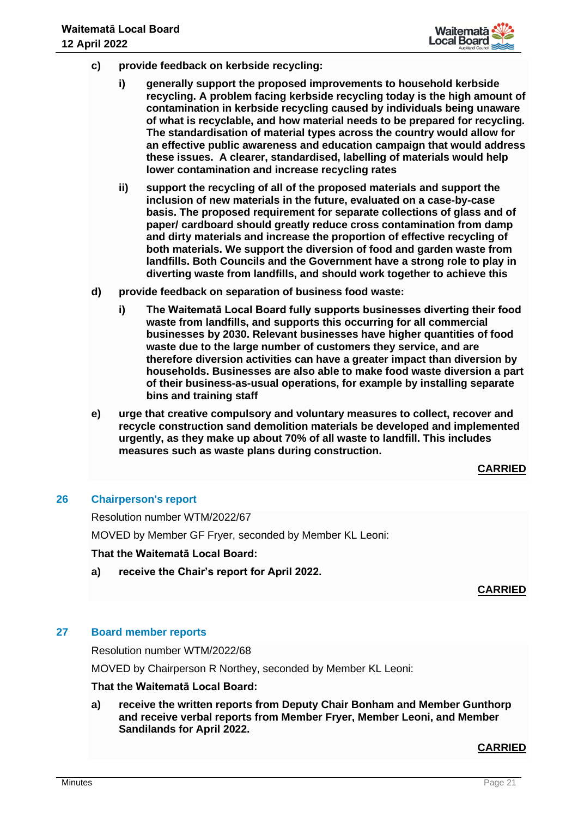

- **c) provide feedback on kerbside recycling:**
	- **i) generally support the proposed improvements to household kerbside recycling. A problem facing kerbside recycling today is the high amount of contamination in kerbside recycling caused by individuals being unaware of what is recyclable, and how material needs to be prepared for recycling. The standardisation of material types across the country would allow for an effective public awareness and education campaign that would address these issues. A clearer, standardised, labelling of materials would help lower contamination and increase recycling rates**
	- **ii) support the recycling of all of the proposed materials and support the inclusion of new materials in the future, evaluated on a case-by-case basis. The proposed requirement for separate collections of glass and of paper/ cardboard should greatly reduce cross contamination from damp and dirty materials and increase the proportion of effective recycling of both materials. We support the diversion of food and garden waste from landfills. Both Councils and the Government have a strong role to play in diverting waste from landfills, and should work together to achieve this**
- **d) provide feedback on separation of business food waste:**
	- **i) The Waitematā Local Board fully supports businesses diverting their food waste from landfills, and supports this occurring for all commercial businesses by 2030. Relevant businesses have higher quantities of food waste due to the large number of customers they service, and are therefore diversion activities can have a greater impact than diversion by households. Businesses are also able to make food waste diversion a part of their business-as-usual operations, for example by installing separate bins and training staff**
- **e) urge that creative compulsory and voluntary measures to collect, recover and recycle construction sand demolition materials be developed and implemented urgently, as they make up about 70% of all waste to landfill. This includes measures such as waste plans during construction.**

#### **26 Chairperson's report**

Resolution number WTM/2022/67 MOVED by Member GF Fryer, seconded by Member KL Leoni:

## **That the Waitematā Local Board:**

**a) receive the Chair's report for April 2022.**

## **CARRIED**

## **27 Board member reports**

Resolution number WTM/2022/68

MOVED by Chairperson R Northey, seconded by Member KL Leoni:

## **That the Waitematā Local Board:**

**a) receive the written reports from Deputy Chair Bonham and Member Gunthorp and receive verbal reports from Member Fryer, Member Leoni, and Member Sandilands for April 2022.**